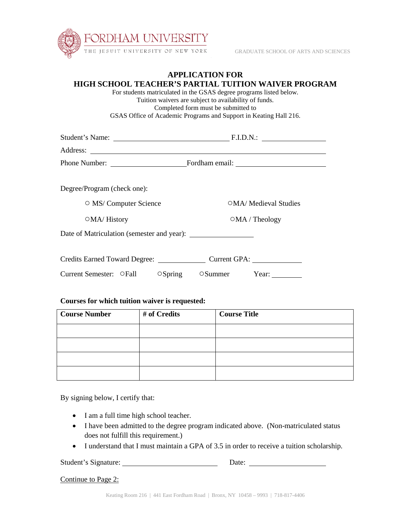

## **APPLICATION FOR HIGH SCHOOL TEACHER'S PARTIAL TUITION WAIVER PROGRAM**

 For students matriculated in the GSAS degree programs listed below. Tuition waivers are subject to availability of funds. Completed form must be submitted to GSAS Office of Academic Programs and Support in Keating Hall 216.

|                                            | Student's Name: F.I.D.N.: F.I.D.N.: |  |  |
|--------------------------------------------|-------------------------------------|--|--|
|                                            |                                     |  |  |
|                                            |                                     |  |  |
| Degree/Program (check one):                |                                     |  |  |
| O MS/ Computer Science                     | OMA/ Medieval Studies               |  |  |
| OMA/History                                | OMA / Theology                      |  |  |
|                                            |                                     |  |  |
| Credits Earned Toward Degree: Current GPA: |                                     |  |  |
| Current Semester: OFall<br>$\circ$ Spring  | Summer Year:                        |  |  |

| Courses for which tuition waiver is requested: |              |                     |  |  |
|------------------------------------------------|--------------|---------------------|--|--|
| <b>Course Number</b>                           | # of Credits | <b>Course Title</b> |  |  |
|                                                |              |                     |  |  |
|                                                |              |                     |  |  |
|                                                |              |                     |  |  |
|                                                |              |                     |  |  |

By signing below, I certify that:

- I am a full time high school teacher.
- I have been admitted to the degree program indicated above. (Non-matriculated status does not fulfill this requirement.)
- I understand that I must maintain a GPA of 3.5 in order to receive a tuition scholarship.

Student's Signature: Date:

Continue to Page 2: